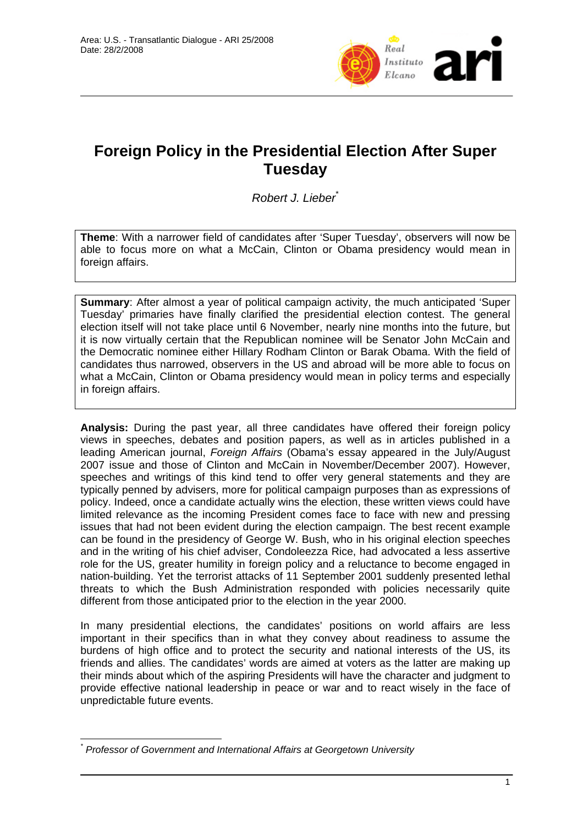

## **Foreign Policy in the Presidential Election After Super Tuesday**

*Robert J. Lieber*\*

**Theme**: With a narrower field of candidates after 'Super Tuesday', observers will now be able to focus more on what a McCain, Clinton or Obama presidency would mean in foreign affairs.

**Summary**: After almost a year of political campaign activity, the much anticipated 'Super Tuesday' primaries have finally clarified the presidential election contest. The general election itself will not take place until 6 November, nearly nine months into the future, but it is now virtually certain that the Republican nominee will be Senator John McCain and the Democratic nominee either Hillary Rodham Clinton or Barak Obama. With the field of candidates thus narrowed, observers in the US and abroad will be more able to focus on what a McCain, Clinton or Obama presidency would mean in policy terms and especially in foreign affairs.

**Analysis:** During the past year, all three candidates have offered their foreign policy views in speeches, debates and position papers, as well as in articles published in a leading American journal, *Foreign Affairs* (Obama's essay appeared in the July/August 2007 issue and those of Clinton and McCain in November/December 2007). However, speeches and writings of this kind tend to offer very general statements and they are typically penned by advisers, more for political campaign purposes than as expressions of policy. Indeed, once a candidate actually wins the election, these written views could have limited relevance as the incoming President comes face to face with new and pressing issues that had not been evident during the election campaign. The best recent example can be found in the presidency of George W. Bush, who in his original election speeches and in the writing of his chief adviser, Condoleezza Rice, had advocated a less assertive role for the US, greater humility in foreign policy and a reluctance to become engaged in nation-building. Yet the terrorist attacks of 11 September 2001 suddenly presented lethal threats to which the Bush Administration responded with policies necessarily quite different from those anticipated prior to the election in the year 2000.

In many presidential elections, the candidates' positions on world affairs are less important in their specifics than in what they convey about readiness to assume the burdens of high office and to protect the security and national interests of the US, its friends and allies. The candidates' words are aimed at voters as the latter are making up their minds about which of the aspiring Presidents will have the character and judgment to provide effective national leadership in peace or war and to react wisely in the face of unpredictable future events.

 $\overline{a}$ *\* Professor of Government and International Affairs at Georgetown University*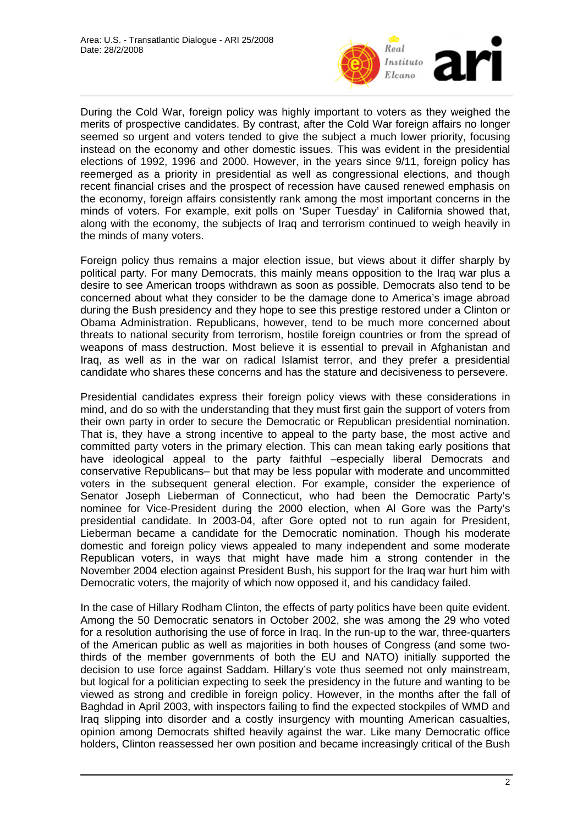

During the Cold War, foreign policy was highly important to voters as they weighed the merits of prospective candidates. By contrast, after the Cold War foreign affairs no longer seemed so urgent and voters tended to give the subject a much lower priority, focusing instead on the economy and other domestic issues. This was evident in the presidential elections of 1992, 1996 and 2000. However, in the years since 9/11, foreign policy has reemerged as a priority in presidential as well as congressional elections, and though recent financial crises and the prospect of recession have caused renewed emphasis on the economy, foreign affairs consistently rank among the most important concerns in the minds of voters. For example, exit polls on 'Super Tuesday' in California showed that, along with the economy, the subjects of Iraq and terrorism continued to weigh heavily in the minds of many voters.

Foreign policy thus remains a major election issue, but views about it differ sharply by political party. For many Democrats, this mainly means opposition to the Iraq war plus a desire to see American troops withdrawn as soon as possible. Democrats also tend to be concerned about what they consider to be the damage done to America's image abroad during the Bush presidency and they hope to see this prestige restored under a Clinton or Obama Administration. Republicans, however, tend to be much more concerned about threats to national security from terrorism, hostile foreign countries or from the spread of weapons of mass destruction. Most believe it is essential to prevail in Afghanistan and Iraq, as well as in the war on radical Islamist terror, and they prefer a presidential candidate who shares these concerns and has the stature and decisiveness to persevere.

Presidential candidates express their foreign policy views with these considerations in mind, and do so with the understanding that they must first gain the support of voters from their own party in order to secure the Democratic or Republican presidential nomination. That is, they have a strong incentive to appeal to the party base, the most active and committed party voters in the primary election. This can mean taking early positions that have ideological appeal to the party faithful –especially liberal Democrats and conservative Republicans– but that may be less popular with moderate and uncommitted voters in the subsequent general election. For example, consider the experience of Senator Joseph Lieberman of Connecticut, who had been the Democratic Party's nominee for Vice-President during the 2000 election, when Al Gore was the Party's presidential candidate. In 2003-04, after Gore opted not to run again for President, Lieberman became a candidate for the Democratic nomination. Though his moderate domestic and foreign policy views appealed to many independent and some moderate Republican voters, in ways that might have made him a strong contender in the November 2004 election against President Bush, his support for the Iraq war hurt him with Democratic voters, the majority of which now opposed it, and his candidacy failed.

In the case of Hillary Rodham Clinton, the effects of party politics have been quite evident. Among the 50 Democratic senators in October 2002, she was among the 29 who voted for a resolution authorising the use of force in Iraq. In the run-up to the war, three-quarters of the American public as well as majorities in both houses of Congress (and some twothirds of the member governments of both the EU and NATO) initially supported the decision to use force against Saddam. Hillary's vote thus seemed not only mainstream, but logical for a politician expecting to seek the presidency in the future and wanting to be viewed as strong and credible in foreign policy. However, in the months after the fall of Baghdad in April 2003, with inspectors failing to find the expected stockpiles of WMD and Iraq slipping into disorder and a costly insurgency with mounting American casualties, opinion among Democrats shifted heavily against the war. Like many Democratic office holders, Clinton reassessed her own position and became increasingly critical of the Bush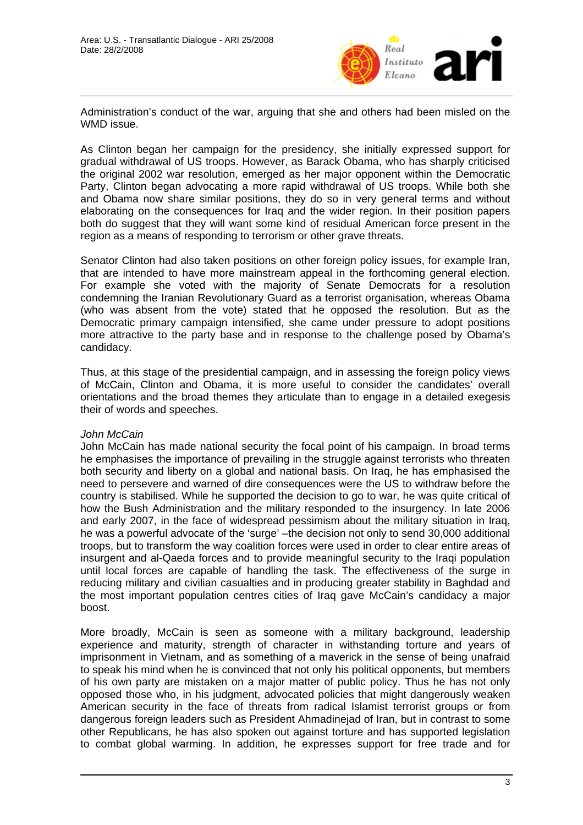

Administration's conduct of the war, arguing that she and others had been misled on the WMD issue.

As Clinton began her campaign for the presidency, she initially expressed support for gradual withdrawal of US troops. However, as Barack Obama, who has sharply criticised the original 2002 war resolution, emerged as her major opponent within the Democratic Party, Clinton began advocating a more rapid withdrawal of US troops. While both she and Obama now share similar positions, they do so in very general terms and without elaborating on the consequences for Iraq and the wider region. In their position papers both do suggest that they will want some kind of residual American force present in the region as a means of responding to terrorism or other grave threats.

Senator Clinton had also taken positions on other foreign policy issues, for example Iran, that are intended to have more mainstream appeal in the forthcoming general election. For example she voted with the majority of Senate Democrats for a resolution condemning the Iranian Revolutionary Guard as a terrorist organisation, whereas Obama (who was absent from the vote) stated that he opposed the resolution. But as the Democratic primary campaign intensified, she came under pressure to adopt positions more attractive to the party base and in response to the challenge posed by Obama's candidacy.

Thus, at this stage of the presidential campaign, and in assessing the foreign policy views of McCain, Clinton and Obama, it is more useful to consider the candidates' overall orientations and the broad themes they articulate than to engage in a detailed exegesis their of words and speeches.

## *John McCain*

John McCain has made national security the focal point of his campaign. In broad terms he emphasises the importance of prevailing in the struggle against terrorists who threaten both security and liberty on a global and national basis. On Iraq, he has emphasised the need to persevere and warned of dire consequences were the US to withdraw before the country is stabilised. While he supported the decision to go to war, he was quite critical of how the Bush Administration and the military responded to the insurgency. In late 2006 and early 2007, in the face of widespread pessimism about the military situation in Iraq, he was a powerful advocate of the 'surge' –the decision not only to send 30,000 additional troops, but to transform the way coalition forces were used in order to clear entire areas of insurgent and al-Qaeda forces and to provide meaningful security to the Iraqi population until local forces are capable of handling the task. The effectiveness of the surge in reducing military and civilian casualties and in producing greater stability in Baghdad and the most important population centres cities of Iraq gave McCain's candidacy a major boost.

More broadly, McCain is seen as someone with a military background, leadership experience and maturity, strength of character in withstanding torture and years of imprisonment in Vietnam, and as something of a maverick in the sense of being unafraid to speak his mind when he is convinced that not only his political opponents, but members of his own party are mistaken on a major matter of public policy. Thus he has not only opposed those who, in his judgment, advocated policies that might dangerously weaken American security in the face of threats from radical Islamist terrorist groups or from dangerous foreign leaders such as President Ahmadinejad of Iran, but in contrast to some other Republicans, he has also spoken out against torture and has supported legislation to combat global warming. In addition, he expresses support for free trade and for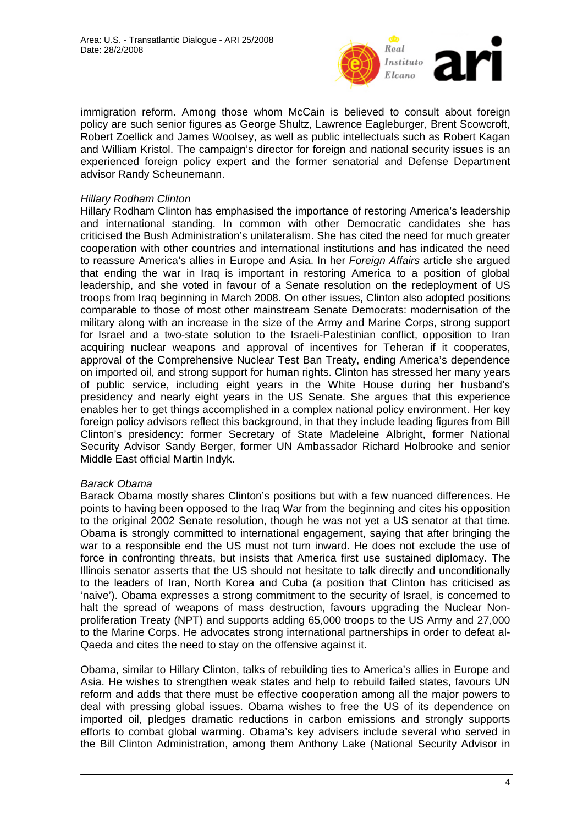

immigration reform. Among those whom McCain is believed to consult about foreign policy are such senior figures as George Shultz, Lawrence Eagleburger, Brent Scowcroft, Robert Zoellick and James Woolsey, as well as public intellectuals such as Robert Kagan and William Kristol. The campaign's director for foreign and national security issues is an experienced foreign policy expert and the former senatorial and Defense Department advisor Randy Scheunemann.

## *Hillary Rodham Clinton*

Hillary Rodham Clinton has emphasised the importance of restoring America's leadership and international standing. In common with other Democratic candidates she has criticised the Bush Administration's unilateralism. She has cited the need for much greater cooperation with other countries and international institutions and has indicated the need to reassure America's allies in Europe and Asia. In her *Foreign Affairs* article she argued that ending the war in Iraq is important in restoring America to a position of global leadership, and she voted in favour of a Senate resolution on the redeployment of US troops from Iraq beginning in March 2008. On other issues, Clinton also adopted positions comparable to those of most other mainstream Senate Democrats: modernisation of the military along with an increase in the size of the Army and Marine Corps, strong support for Israel and a two-state solution to the Israeli-Palestinian conflict, opposition to Iran acquiring nuclear weapons and approval of incentives for Teheran if it cooperates, approval of the Comprehensive Nuclear Test Ban Treaty, ending America's dependence on imported oil, and strong support for human rights. Clinton has stressed her many years of public service, including eight years in the White House during her husband's presidency and nearly eight years in the US Senate. She argues that this experience enables her to get things accomplished in a complex national policy environment. Her key foreign policy advisors reflect this background, in that they include leading figures from Bill Clinton's presidency: former Secretary of State Madeleine Albright, former National Security Advisor Sandy Berger, former UN Ambassador Richard Holbrooke and senior Middle East official Martin Indyk.

## *Barack Obama*

Barack Obama mostly shares Clinton's positions but with a few nuanced differences. He points to having been opposed to the Iraq War from the beginning and cites his opposition to the original 2002 Senate resolution, though he was not yet a US senator at that time. Obama is strongly committed to international engagement, saying that after bringing the war to a responsible end the US must not turn inward. He does not exclude the use of force in confronting threats, but insists that America first use sustained diplomacy. The Illinois senator asserts that the US should not hesitate to talk directly and unconditionally to the leaders of Iran, North Korea and Cuba (a position that Clinton has criticised as 'naive'). Obama expresses a strong commitment to the security of Israel, is concerned to halt the spread of weapons of mass destruction, favours upgrading the Nuclear Nonproliferation Treaty (NPT) and supports adding 65,000 troops to the US Army and 27,000 to the Marine Corps. He advocates strong international partnerships in order to defeat al-Qaeda and cites the need to stay on the offensive against it.

Obama, similar to Hillary Clinton, talks of rebuilding ties to America's allies in Europe and Asia. He wishes to strengthen weak states and help to rebuild failed states, favours UN reform and adds that there must be effective cooperation among all the major powers to deal with pressing global issues. Obama wishes to free the US of its dependence on imported oil, pledges dramatic reductions in carbon emissions and strongly supports efforts to combat global warming. Obama's key advisers include several who served in the Bill Clinton Administration, among them Anthony Lake (National Security Advisor in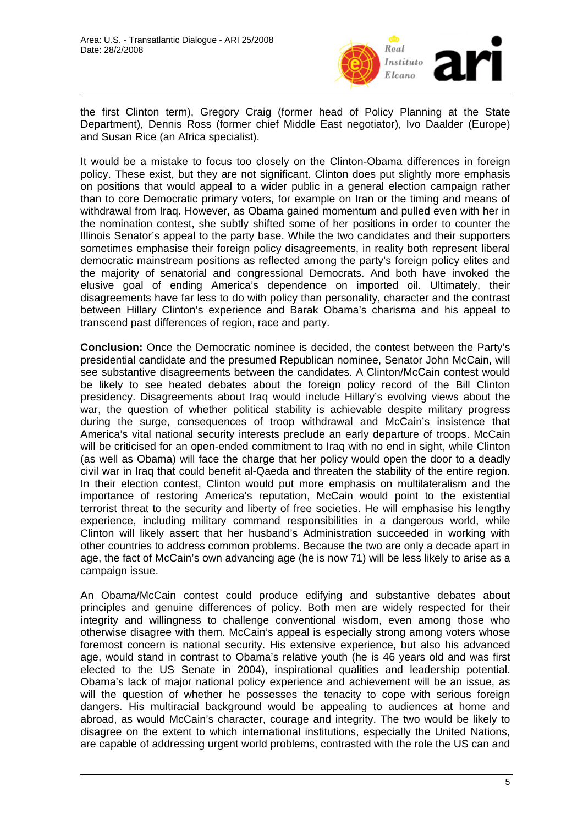

the first Clinton term), Gregory Craig (former head of Policy Planning at the State Department), Dennis Ross (former chief Middle East negotiator), Ivo Daalder (Europe) and Susan Rice (an Africa specialist).

It would be a mistake to focus too closely on the Clinton-Obama differences in foreign policy. These exist, but they are not significant. Clinton does put slightly more emphasis on positions that would appeal to a wider public in a general election campaign rather than to core Democratic primary voters, for example on Iran or the timing and means of withdrawal from Iraq. However, as Obama gained momentum and pulled even with her in the nomination contest, she subtly shifted some of her positions in order to counter the Illinois Senator's appeal to the party base. While the two candidates and their supporters sometimes emphasise their foreign policy disagreements, in reality both represent liberal democratic mainstream positions as reflected among the party's foreign policy elites and the majority of senatorial and congressional Democrats. And both have invoked the elusive goal of ending America's dependence on imported oil. Ultimately, their disagreements have far less to do with policy than personality, character and the contrast between Hillary Clinton's experience and Barak Obama's charisma and his appeal to transcend past differences of region, race and party.

**Conclusion:** Once the Democratic nominee is decided, the contest between the Party's presidential candidate and the presumed Republican nominee, Senator John McCain, will see substantive disagreements between the candidates. A Clinton/McCain contest would be likely to see heated debates about the foreign policy record of the Bill Clinton presidency. Disagreements about Iraq would include Hillary's evolving views about the war, the question of whether political stability is achievable despite military progress during the surge, consequences of troop withdrawal and McCain's insistence that America's vital national security interests preclude an early departure of troops. McCain will be criticised for an open-ended commitment to Iraq with no end in sight, while Clinton (as well as Obama) will face the charge that her policy would open the door to a deadly civil war in Iraq that could benefit al-Qaeda and threaten the stability of the entire region. In their election contest, Clinton would put more emphasis on multilateralism and the importance of restoring America's reputation, McCain would point to the existential terrorist threat to the security and liberty of free societies. He will emphasise his lengthy experience, including military command responsibilities in a dangerous world, while Clinton will likely assert that her husband's Administration succeeded in working with other countries to address common problems. Because the two are only a decade apart in age, the fact of McCain's own advancing age (he is now 71) will be less likely to arise as a campaign issue.

An Obama/McCain contest could produce edifying and substantive debates about principles and genuine differences of policy. Both men are widely respected for their integrity and willingness to challenge conventional wisdom, even among those who otherwise disagree with them. McCain's appeal is especially strong among voters whose foremost concern is national security. His extensive experience, but also his advanced age, would stand in contrast to Obama's relative youth (he is 46 years old and was first elected to the US Senate in 2004), inspirational qualities and leadership potential. Obama's lack of major national policy experience and achievement will be an issue, as will the question of whether he possesses the tenacity to cope with serious foreign dangers. His multiracial background would be appealing to audiences at home and abroad, as would McCain's character, courage and integrity. The two would be likely to disagree on the extent to which international institutions, especially the United Nations, are capable of addressing urgent world problems, contrasted with the role the US can and